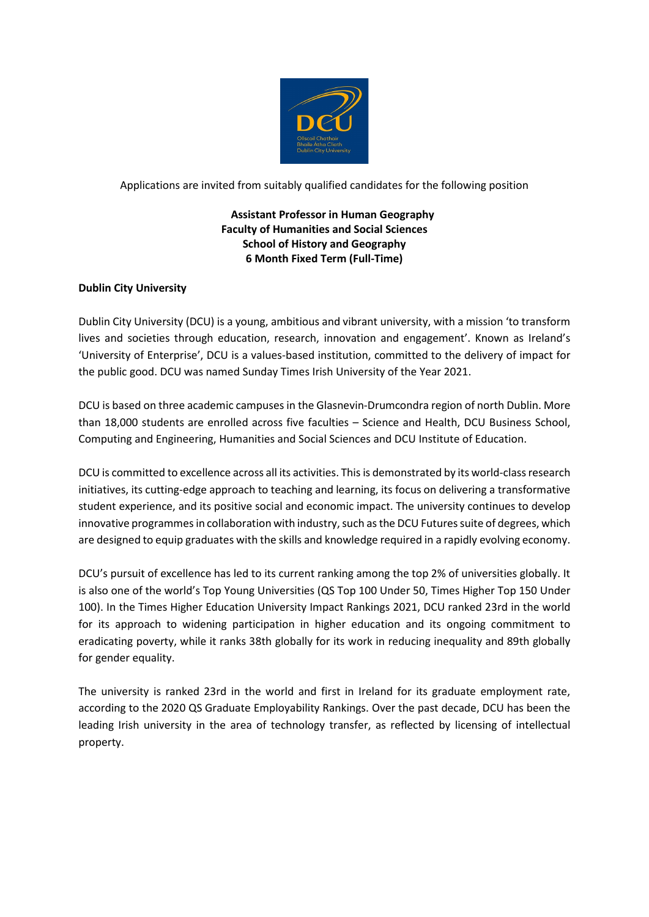

## Applications are invited from suitably qualified candidates for the following position

# **Assistant Professor in Human Geography Faculty of Humanities and Social Sciences School of History and Geography 6 Month Fixed Term (Full-Time)**

## **Dublin City University**

Dublin City University (DCU) is a young, ambitious and vibrant university, with a mission 'to transform lives and societies through education, research, innovation and engagement'. Known as Ireland's 'University of Enterprise', DCU is a values-based institution, committed to the delivery of impact for the public good. DCU was named Sunday Times Irish University of the Year 2021.

DCU is based on three academic campuses in the Glasnevin-Drumcondra region of north Dublin. More than 18,000 students are enrolled across five faculties – Science and Health, DCU Business School, Computing and Engineering, Humanities and Social Sciences and DCU Institute of Education.

DCU is committed to excellence across all its activities. This is demonstrated by its world-class research initiatives, its cutting-edge approach to teaching and learning, its focus on delivering a transformative student experience, and its positive social and economic impact. The university continues to develop innovative programmes in collaboration with industry, such as the DCU Futures suite of degrees, which are designed to equip graduates with the skills and knowledge required in a rapidly evolving economy.

DCU's pursuit of excellence has led to its current ranking among the top 2% of universities globally. It is also one of the world's Top Young Universities (QS Top 100 Under 50, Times Higher Top 150 Under 100). In the Times Higher Education University Impact Rankings 2021, DCU ranked 23rd in the world for its approach to widening participation in higher education and its ongoing commitment to eradicating poverty, while it ranks 38th globally for its work in reducing inequality and 89th globally for gender equality.

The university is ranked 23rd in the world and first in Ireland for its graduate employment rate, according to the 2020 QS Graduate Employability Rankings. Over the past decade, DCU has been the leading Irish university in the area of technology transfer, as reflected by licensing of intellectual property.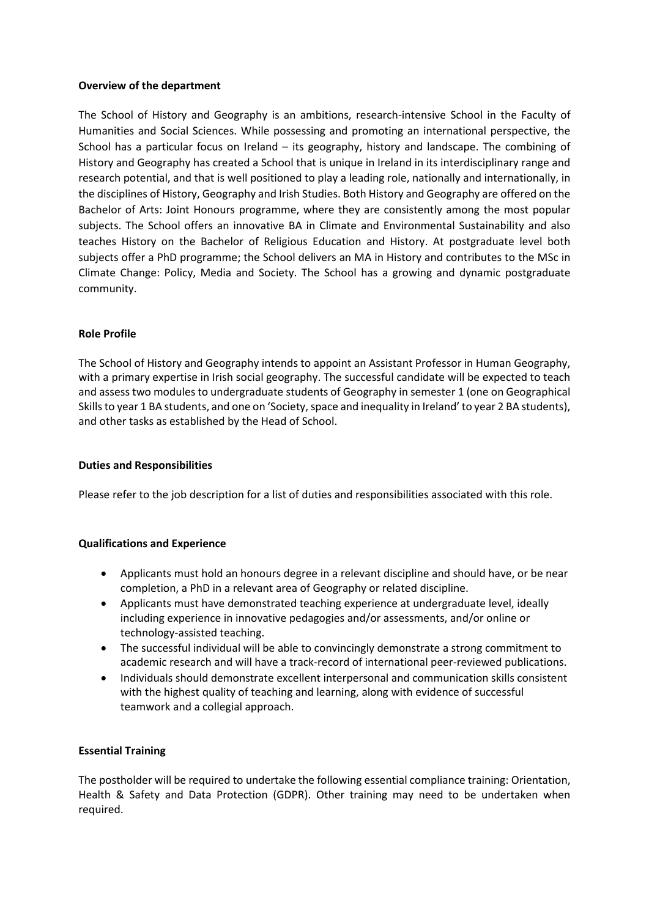### **Overview of the department**

The School of History and Geography is an ambitions, research-intensive School in the Faculty of Humanities and Social Sciences. While possessing and promoting an international perspective, the School has a particular focus on Ireland – its geography, history and landscape. The combining of History and Geography has created a School that is unique in Ireland in its interdisciplinary range and research potential, and that is well positioned to play a leading role, nationally and internationally, in the disciplines of History, Geography and Irish Studies. Both History and Geography are offered on the Bachelor of Arts: Joint Honours programme, where they are consistently among the most popular subjects. The School offers an innovative BA in Climate and Environmental Sustainability and also teaches History on the Bachelor of Religious Education and History. At postgraduate level both subjects offer a PhD programme; the School delivers an MA in History and contributes to the MSc in Climate Change: Policy, Media and Society. The School has a growing and dynamic postgraduate community.

### **Role Profile**

The School of History and Geography intends to appoint an Assistant Professor in Human Geography, with a primary expertise in Irish social geography. The successful candidate will be expected to teach and assess two modules to undergraduate students of Geography in semester 1 (one on Geographical Skills to year 1 BA students, and one on 'Society, space and inequality in Ireland' to year 2 BA students), and other tasks as established by the Head of School.

### **Duties and Responsibilities**

Please refer to the job description for a list of duties and responsibilities associated with this role.

## **Qualifications and Experience**

- Applicants must hold an honours degree in a relevant discipline and should have, or be near completion, a PhD in a relevant area of Geography or related discipline.
- Applicants must have demonstrated teaching experience at undergraduate level, ideally including experience in innovative pedagogies and/or assessments, and/or online or technology-assisted teaching.
- The successful individual will be able to convincingly demonstrate a strong commitment to academic research and will have a track-record of international peer-reviewed publications.
- Individuals should demonstrate excellent interpersonal and communication skills consistent with the highest quality of teaching and learning, along with evidence of successful teamwork and a collegial approach.

## **Essential Training**

The postholder will be required to undertake the following essential compliance training: Orientation, Health & Safety and Data Protection (GDPR). Other training may need to be undertaken when required.